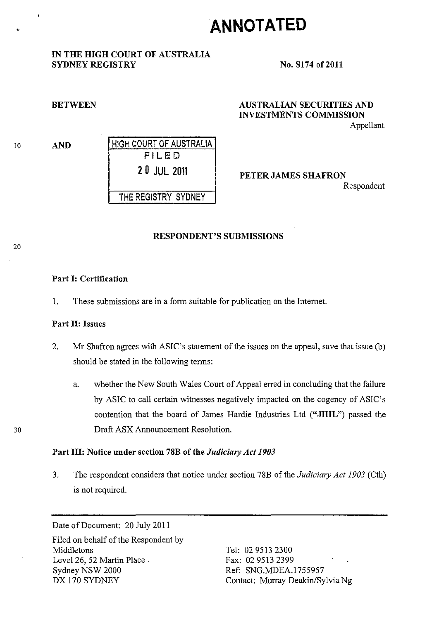# **ANNOTATED**

#### IN THE HIGH COURT OF AUSTRALIA SYDNEY REGISTRY

#### No. S174 of 2011

#### **BETWEEN**

10

•

AND HIGH COURT OF AUSTRALIA FILED 20 JUL 2011 THE REGISTRY SYDNEY

### AUSTRALIAN SECURITIES AND INVESTMENTS COMMISSION

Appellant

PETER JAMES SHAFRON Respondent

#### RESPONDENT'S SUBMISSIONS

## 20

30

#### Part I: Certification

1. These submissions are in a form suitable for publication on the Internet.

#### Part II: Issues

- 2. Mr Shafron agrees with ASIC's statement of the issues on the appeal, save that issue (b) should be stated in the following terms:
	- a. whether the New South Wales Court of Appeal erred in concluding that the failure by ASIC to call certain witnesses negatively impacted on the cogency of ASIC's contention that the board of James Hardie Industries Ltd ("JHIL") passed the Draft ASX Announcement Resolution.

#### Part III: Notice under section 78B of the *Judiciary Act 1903*

3. The respondent considers that notice under section 78B of the *Judiciary Act 1903* (Cth) is not required.

Date of Document: 20 July 2011

Filed on behalf of the Respondent by Middletons Level 26, 52 Martin Place . Sydney NSW 2000 DX 170 SYDNEY

Tel: 02 9513 2300 Fax: 029513 2399 Ref: SNO.MDEA.1755957 Contact: Murray Deakin/Sylvia Ng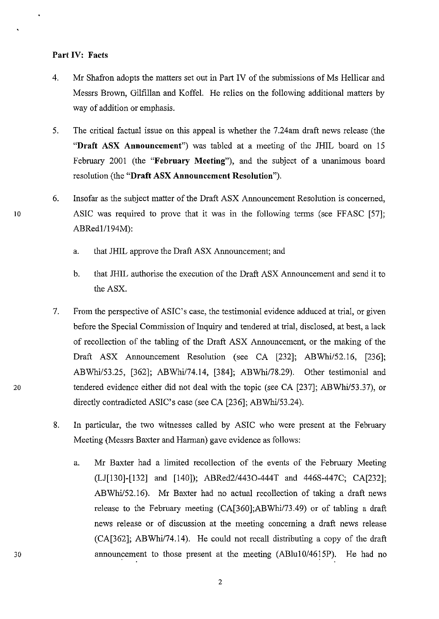#### Part IV: Facts

- 4. Mr Shafron adopts the matters set out in Part IV of the submissions of Ms Hellicar and Messrs Brown, Gilfillan and Koffel. He relies on the following additional matters by way of addition or emphasis.
- 5. The critical factual issue on this appeal is whether the 7.24am draft news release (the "Draft ASX Announcement") was tabled at a meeting of the JHIL board on 15 February 2001 (the "February Meeting"), and the subject of a unanimous board resolution (the "Draft ASX Announcement Resolution").
- 6. Insofar as the subject matter of the Draft ASX Announcement Resolution is concerned, 10 ASIC was required to prove that it was in the following terms (see FFASC [57]; ABRed1/194M):
	- a. that JHIL approve the Draft ASX Announcement; and
	- b. that JHIL authorise the execution of the Draft ASX Announcement and send it to the ASX.
- 7. From the perspective of ASIC's case, the testimonial evidence adduced at trial, or given before the Special Commission of Inquiry and tendered at trial, disclosed, at best, a lack of recollection of the tabling of the Draft ASX Announcement, or the making of the Draft ASX Announcement Resolution (see CA [232]; ABWhi/52.l6, [236]; ABWhi/53.25, [362]; ABWhi/74.14, [384]; ABWhi/78.29). Other testimonial and 20 tendered evidence either did not deal with the topic (see CA [237]; ABWhi/53.37), or directly contradicted ASIC's case (see CA [236]; ABWhi/53.24).
	- 8. In particular, the two witnesses called by ASIC who were present at the February Meeting (Messrs Baxter and Harman) gave evidence as follows:
		- a. Mr Baxter had a limited recollection of the events of the February Meeting (LJ[130]-[132] and [140]); *ABRed2/4430-444T* and 446S-447C; CA[232]; ABWhi/52.l6). Mr Baxter had no actual recollection of taking a draft news release to the February meeting (CA[360];ABWhi/73.49) or of tabling a draft news release or of discussion at the meeting concerning a draft news release (CA[362]; ABWhi/74.l4). He could not recall distributing a copy of the draft announcement to those present at the meeting *(ABlul0/46l5P).* He had no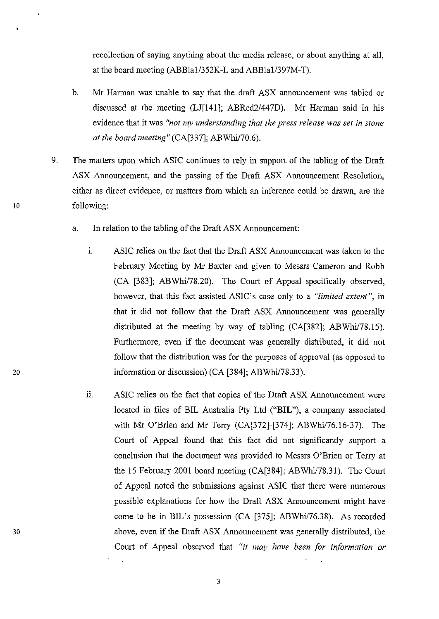recollection of saying anything about the media release, or about anything at all, at the board meeting (ABBlal/352K-L and ABBlal/397M-T).

- b. Mr Harman was unable to say that the draft ASX announcement was tabled or discussed at the meeting (LJ[14l]; ABRed2/447D). Mr Harman said in his evidence that it was *"not my understanding that the press release was set in stone at the board meeting"* (CA[337]; ABWhi/70.6).
- 9. The matters upon which ASIC continues to rely in support of the tabling of the Draft ASX Announcement, and the passing of the Draft ASX Announcement Resolution, either as direct evidence, or matters from which an inference could be drawn, are the following:
	- a. In relation to the tabling of the Draft ASX Announcement:
		- 1. ASIC relies on the fact that the Draft ASX Announcement was taken to the February Meeting by Mr Baxter and given to Messrs Cameron and Robb (CA [383]; ABWhi/78.20). The Court of Appeal specifically observed, however, that this fact assisted ASIC's case only to a *"limited extent",* in that it did not follow that the Draft ASX Announcement was generally distributed at the meeting by way of tabling  $(CA[382])$ ; ABWhi/78.15). Furthermore, even if the document was generally distributed, it did not follow that the distribution was for the purposes of approval (as opposed to information or discussion) (CA [384]; ABWhi/78.33).
		- ii. ASIC relies on the fact that copies of the Draft ASX Announcement were located in files of BIL Australia Pty Ltd ("BIL"), a company associated with Mr O'Brien and Mr Terry (CA[372]-[374]; ABWhil76.l6-37). The Court of Appeal found that this fact did not significantly support a conclusion that the document was provided to Messrs O'Brien or Terry at the 15 February 2001 board meeting (CA[384]; ABWhi/78.31). The Court of Appeal noted the submissions against ASIC that there were numerous possible explanations for how the Draft ASX Announcement might have come to be in BIL's possession (CA [375]; ABWhi/76.38). As recorded above, even if the Draft ASX Announcement was generally distributed, the Court of Appeal observed that *"it may have been for information or*

20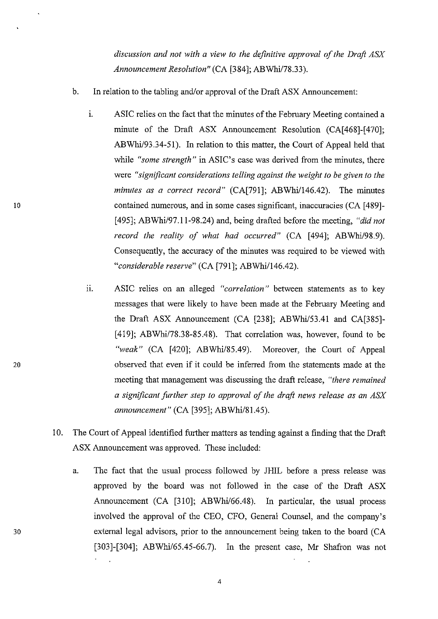*discussion and not with a view to the definitive approval of the Draft ASX Announcement Resolution"* (CA [384]; ABWhi/78.33).

- b. In relation to the tabling *and/or* approval of the Draft ASX Announcement:
	- 1. ASIC relies on the fact that the minutes of the February Meeting contained a minute of the Draft ASX Announcement Resolution (CA[468]-[470]; ABWhi/93.34-51). In relation to this matter, the Court of Appeal held that while *"some strength"* in ASIC's case was derived from the minutes, there were *"significant considerations telling against the weight to be given to the minutes as a correct record*" (CA[791]; ABWhi/146.42). The minutes contained numerous, and in some cases significant, inaccuracies (CA [489]- *[495]; ABWhi/97.11-98.24)* and, being drafted before the meeting, *"did not*  record the reality of what had occurred" (CA [494]; ABWhi/98.9). Consequently, the accuracy of the minutes was required to be viewed with "considerable reserve" (CA [791]; ABWhi/146.42).
	- 11. ASIC relies on an alleged *"correlation"* between statements as to key messages that were likely to have been made at the February Meeting and the Draft ASX Announcement (CA [238]; ABWhi/53.41 and CA[385]-[419]; ABWhi/78.38-85.48). That correlation was, however, found to be *"weak"* (CA [420]; *ABWhi/85.49).* Moreover, the Court of Appeal observed that even if it could be inferred from the statements made at the meeting that management was discussing the draft release, *"there remained a significant further step to approval of the draft news release as an ASX announcement"* (CA [395]; ABWhi/81.45).
- 10. The Court of Appeal identified further matters as tending against a finding that the Draft ASX Announcement was approved. These included:
	- a. The fact that the usual process followed by JHIL before a press release was approved by the board was not followed in the case of the Draft ASX Announcement (CA [310]; ABWhi/66.48). In particular, the usual process involved the approval of the CEO, CFO, General Counsel, and the company's external legal advisors, prior to the announcement being taken to the board (CA *[303]-[304]; ABWhi/65.45-66.7).* In the present case, Mr Shafron was not

10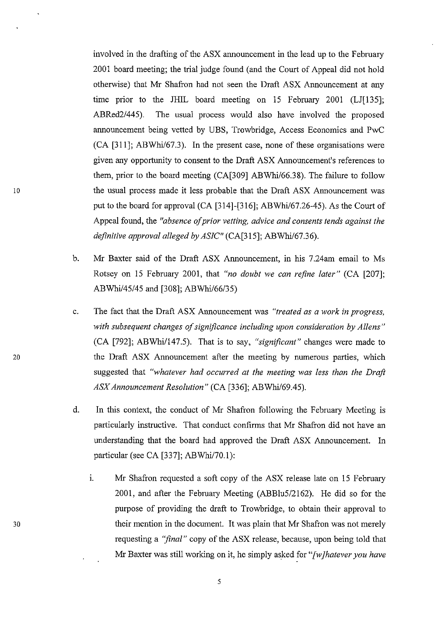involved in the drafting of the ASX announcement in the lead up to the February 2001 board meeting; the trial judge found (and the Court of Appeal did not hold otherwise) that Mr Shafron had not seen the Draft ASX Announcement at any time prior to the JHIL board meeting on IS February 2001 (LJ[13S]; ABRed2/44S). The usual process would also have involved the proposed announcement being vetted by UBS, Trowbridge, Access Economics and PwC (CA [311]; ABWhil67.3). In the present case, none of these organisations were given any opportunity to consent to the Draft ASX Announcement's references to them, prior to the board meeting (CA[309] ABWhi/66.38). The failure to follow the usual process made it less probable that the Draft ASX Announcement was put to the board for approval (CA [314]-[316]; ABWhil67.26-4S). As the Court of Appeal found, the *"absence of prior vetting, advice and consents tends against the definitive approval alleged by ASIC"* (CA[3lS]; ABWhi/67.36).

- b. Mr Baxter said of the Draft ASX Announcement, in his 7.24am email to Ms Rotsey on IS February 2001, that *"no doubt we can refine later"* (CA [207]; ABWhi/45/45 and [308]; ABWhi/66/35)
- c. The fact that the Draft ASX Announcement was *"treated as a work in progress, with subsequent changes of significance including upon consideration by Aliens"*  (CA [792]; ABWhi/147.5). That is to say, "significant" changes were made to the Draft ASX Announcement after the meeting by numerous parties, which suggested that *"whatever had occurred at the meeting was less than the Draft ASX Announcement Resolution"* (CA [336]; ABWhi/69.4S).
- d. In this context, the conduct of Mr Shafron following the February Meeting is particularly instructive. That conduct confirms that Mr Shafron did not have an understanding that the board had approved the Draft ASX Announcement. In particular (see CA [337]; ABWhi/70.1):
	- i. Mr Shafron requested a soft copy of the ASX release late on 15 February 2001, and after the February Meeting (ABBIuS/2162). He did so for the purpose of providing the draft to Trowbridge, to obtain their approval to their mention in the document. It was plain that Mr Shafron was not merely requesting a *"final"* copy of the ASX release, because, upon being told that Mr Baxter was still working on it, he simply asked for *"[wJhatever you have*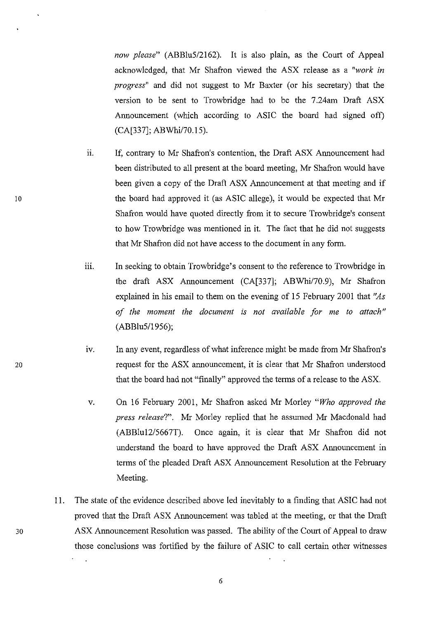*now please"* (ABBIuS/2162). It is also plain, as the Court of Appeal acknowledged, that Mr Shafron viewed the ASX release as a *"work in progress"* and did not suggest to Mr Baxter (or his secretary) that the version to be sent to Trowbridge had to be the 7.24am Draft ASX Announcement (which according to ASIC the board had signed off) (CA[337]; ABWhil70.IS).

- ii. If, contrary to Mr Shafron's contention, the Draft ASX Announcement had been distributed to all present at the board meeting, Mr Shafron would have been given a copy of the Draft ASX Announcement at that meeting and if the board had approved it (as ASIC allege), it would be expected that Mr Shafron would have quoted directly from it to secure Trowbridge's consent to how Trowbridge was mentioned in it. The fact that he did not suggests that Mr Shafron did not have access to the document in any form.
- iii. In seeking to obtain Trowbridge's consent to the reference to Trowbridge in the draft ASX Announcement (CA[337]; ABWhi/70.9), Mr Shafron explained in his email to them on the evening of IS February 2001 that *"As of the moment the document is not available for me to attach"*  (ABBIuS/19S6);
- IV. In any event, regardless of what inference might be made from Mr Shafron's request for the ASX armouncement, it is clear that Mr Shafron understood that the board had not "finally" approved the terms of a release to the ASX.
- v. On 16 February 2001, Mr Shafron asked Mr Morley *"Who approved the press release?".* Mr Morley replied that he assumed Mr Macdonald had (ABBluI2/S667T). Once again, it is clear that Mr Shafron did not understand the board to have approved the Draft ASX Announcement in terms of the pleaded Draft ASX Announcement Resolution at the February Meeting.
- II. The state of the evidence described above led inevitably to a finding that ASIC had not proved that the Draft ASX Announcement was tabled at the meeting, or that the Draft 30 ASX Announcement Resolution was passed. The ability of the Court of Appeal to draw those conclusions was fortified by the failure of ASIC to call certain other witnesses

20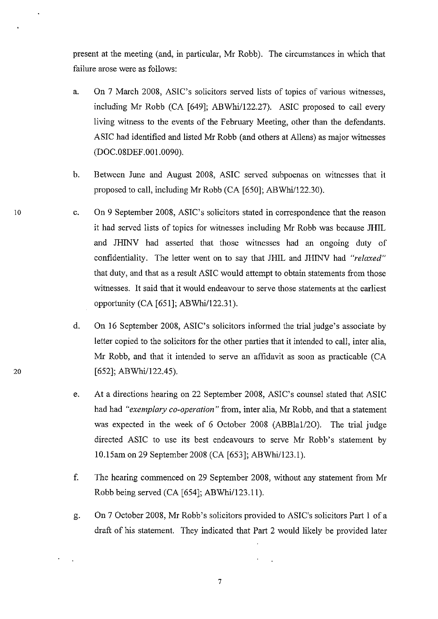present at the meeting (and, in particular, Mr Robb). The circumstances in which that failure arose were as follows:

- a. On 7 March 2008, ASIC's solicitors served lists of topics of various witnesses, including Mr Robb  $(CA \mid 649]$ ; ABWhi $/122.27$ ). ASIC proposed to call every living witness to the events of the February Meeting, other than the defendants. ASIC had identified and listed Mr Robb (and others at Allens) as major witnesses (DOC.08DEF.00I.0090).
- b. Between June and August 2008, ASIC served subpoenas on witnesses that it proposed to call, including Mr Robb (CA [650]; ABWhi/122.30).
- c. On 9 September 2008, ASIC's solicitors stated in correspondence that the reason it had served lists of topics for witnesses including Mr Robb was because JHIL and JHINV had asserted that those witnesses had an ongoing duty of confidentiality. The letter went on to say that JHIL and JHINV had *"relaxed"*  that duty, and that as a result ASIC would attempt to obtain statements from those witnesses. It said that it would endeavour to serve those statements at the earliest opportunity  $(CA [651]$ ; ABWhi/122.31).
- d. On 16 September 2008, ASIC's solicitors informed the trial judge's associate by letter copied to the solicitors for the other parties that it intended to call, inter alia, Mr Robb, and that it intended to serve an affidavit as soon as practicable (CA [652]; ABWhi/122.45).
- e. At a directions hearing on 22 September 2008, ASIC's counsel stated that ASIC had had *"exemplary co-operation"* from, inter alia, Mr Robb, and that a statement was expected in the week of 6 October 2008 (ABBla1/2O). The trial judge directed ASIC to use its best endeavours to serve Mr Robb's statement by 10.15am on 29 September 2008 (CA [653]; ABWhi/123.l).
- f. The hearing commenced on 29 September 2008, without any statement from Mr Robb being served  $(CA [654]; ABWhi/123.11)$ .
- g. On 7 October 2008, Mr Robb's solicitors provided to ASIC's solicitors Part 1 of a draft of his statement. They indicated that Part 2 would likely be provided later

20

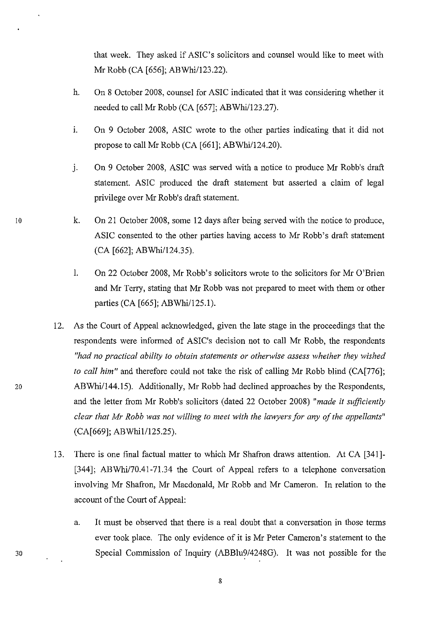that week. They asked if ASIC's solicitors and counsel would like to meet with Mr Robb (CA [656]; ABWhi/123.22).

- h. On 8 October 2008, counsel for ASIC indicated that it was considering whether it needed to call Mr Robb (CA [657]; ABWhi/123.27).
- 1. On 9 October 2008, ASIC wrote to the other parties indicating that it did not propose to call Mr Robb  $(CA [661]; ABWhi/124.20)$ .
- J. On 9 October 2008, ASIC was served with a notice to produce Mr Robb's draft statement. ASIC produced the draft statement but asserted a claim of legal privilege over Mr Robb's draft statement.
- k. On 21 October 2008, some 12 days after being served with the notice to produce, ASIC consented to the other parties having access to Mr Robb's draft statement (CA [662]; ABWhi/124.35).
- I. On 22 October 2008, Mr Robb's solicitors wrote to the solicitors for Mr O'Brien and Mr Terry, stating that Mr Robb was not prepared to meet with them or other parties (CA [665]; ABWhi/125.1).
- 12. As the Court of Appeal acknowledged, given the late stage in the proceedings that the respondents were informed of ASIC's decision not to call Mr Robb, the respondents *"had no practical ability to obtain statements or otherwise assess whether they wished to call him*" and therefore could not take the risk of calling Mr Robb blind (CA[776]; ABWhi/144.15). Additionally, Mr Robb had declined approaches by the Respondents, and the letter from Mr Robb's solicitors (dated 22 October 2008) *"made* it *sufficiently clear that Mr Robb was not willing to meet with the lawyers for any of the appellants"*  (CA[669]; ABWhi1/125.25).
- 13. There is one final factual matter to which Mr Shafron draws attention. At CA [341]- [344]; ABWhi/70.41-71.34 the Court of Appeal refers to a telephone conversation involving Mr Shafron, Mr Macdonald, Mr Robb and Mr Cameron. In relation to the account of the Court of Appeal:
	- a. It must be observed that there is a real doubt that a conversation in those terms ever took place. The only evidence of it is Mr Peter Cameron's statement to the Special Commission of Inquiry (ABBlu9/4248G). It was not possible for the

20

10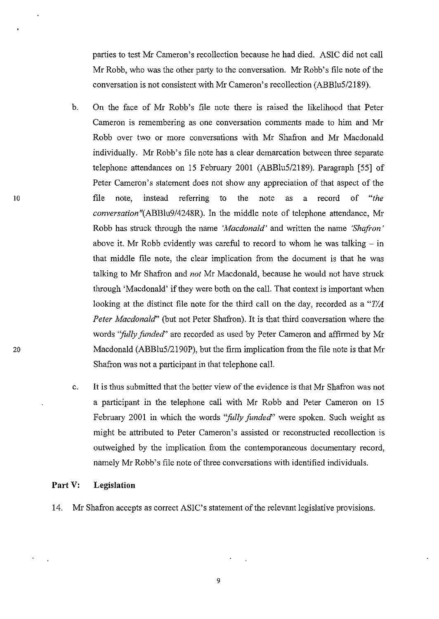parties to test Mr Cameron's recollection because he had died. ASIC did not caIl Mr Robb, who was the other party to the conversation. Mr Robb's file note of the conversation is not consistent with Mr Cameron's recollection *(ABBlu5/2189).* 

- b. On the face of Mr Robb's file note there is raised the likelihood that Peter Cameron is remembering as one conversation comments made to him and Mr Robb over two or more conversations with Mr Shafron and Mr Macdonald individually. Mr Robb's file note has a clear demarcation between three separate telephone attendances on 15 February 2001 *(ABBlu5/2189).* Paragraph [55] of Peter Cameron's statement does not show any appreciation of that aspect of the file note, instead referring to the note as a record of *"the conversation "(ABBlu9/4248R).* In the middle note of telephone attendance, Mr Robb has struck through the name *'Macdonald'* and written the name *'Shafron'*  above it. Mr Robb evidently was careful to record to whom he was talking  $-$  in that middle file note, the clear implication from the document is that he was talking to Mr Shafron and *not* Mr Macdonald, because he would not have struck through 'Macdonald' if they were both on the call. That context is important when looking at the distinct file note for the third call on the day, recorded as a *"T/A Peter Macdonald"* (but not Peter Shafron). It is that third conversation where the words *"fully funded"* are recorded as used by Peter Cameron and affirmed by Mr Macdonald *(ABBlu5/2190P),* but the firm implication from the file note is that Mr Shafron was not a participant in that telephone call.
- c. It is thus submitted that the better view of the evidence is that Mr Shafron was not a participant in the telephone call with Mr Robb and Peter Cameron on 15 February 2001 in which the words *"fully funded"* were spoken. Such weight as might be attributed to Peter Cameron's assisted or reconstructed recollection is outweighed by the implication from the contemporaneous documentary record, namely Mr Robb's file note of three conversations with identified individuals.

#### Part V: **Legislation**

14. Mr Shafron accepts as correct ASIC's statement of the relevant legislative provisions.

10

20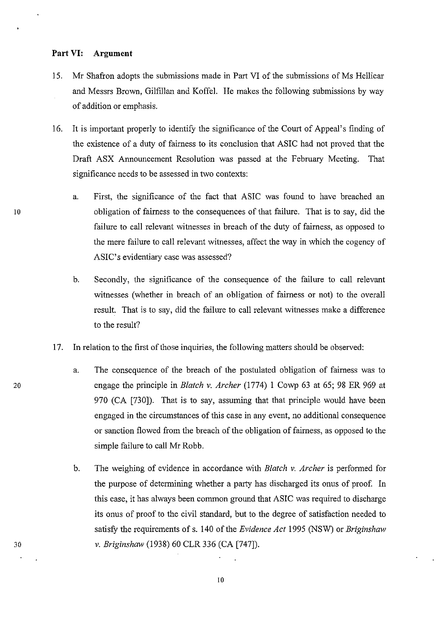#### **Part VI: Argument**

- 15. Mr Shafron adopts the submissions made in **Part VI** of the submissions of Ms Hellicar and Messrs Brown, Gilfillan and Koffel. He makes the following submissions by way of addition or emphasis.
- 16. It is important properly to identify the significance of the Court of Appeal's finding of the existence of a duty of fairness to its conclusion that ASIC had not proved that the Draft ASX Announcement Resolution was passed at the February Meeting. That significance needs to be assessed in two contexts:
	- a. First, the significance of the fact that ASIC was found to have breached an obligation of fairness to the consequences of that failure. That is to say, did the failure to call relevant witnesses in breach of the duty of fairness, as opposed to the mere failure to call relevant witnesses, affect the way in which the cogency of ASIC's evidentiary case was assessed?
	- b. Secondly, the significance of the consequence of the failure to call relevant witnesses (whether in breach of an obligation of fairness or not) to the overall result. That is to say, did the failure to call relevant witnesses make a difference to the result?
- 17. In relation to the first of those inquiries, the following matters should be observed:
	- a. The consequence of the breach of the postulated obligation of fairness was to engage the principle in *Blatch* v. *Archer* (1774) I Cowp 63 at 65; 98 ER 969 at 970 (CA [730]). That is to say, assuming that that principle would have been engaged in the circumstances of this case in any event, no additional consequence or sanction flowed from the breach of the obligation of fairness, as opposed to the simple failure to call Mr Robb.
	- b. The weighing of evidence in accordance with *Blatch* v. *Archer* is performed for the purpose of determining whether a party has discharged its onus of proof. In this case, it has always been common ground that ASIC was required to discharge its onus of proof to the civil standard, but to the degree of satisfaction needed to satisfy the requirements of s. 140 of the *Evidence Act* 1995 (NSW) or *Briginshaw* v. *Briginshaw* (1938) 60 CLR 336 (CA [747]).

10

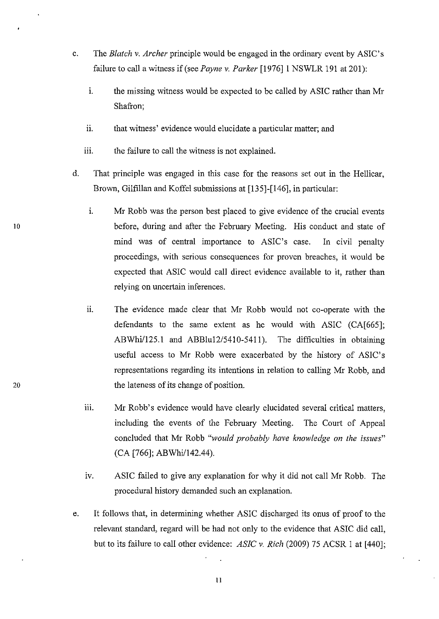- c. The *Blatch* v. *Archer* principle would be engaged in the ordinary event by ASIC's failure to call a witness if (see *Payne* v. *Parker* [1976]1 NSWLR 191 at 201):
	- 1. the missing witness would be expected to be called by ASIC rather than Mr Shafron;
	- ii. that witness' evidence would elucidate a particular matter; and
	- iii. the failure to call the witness is not explained.
- d. That principle was engaged in this case for the reasons set out in the Hellicar, Brown, Gilfillan and Koffel submissions at [135]-[146], in particular:
- 1. Mr Robb was the person best placed to give evidence of the crucial events 10 before, during and after the February Meeting. His conduct and state of mind was of central importance to ASIC's case. In civil penalty proceedings, with serious consequences for proven breaches, it would be expected that ASIC would call direct evidence available to it, rather than relying on uncertain inferences.
	- ii. The evidence made clear that Mr Robb would not co-operate with the defendants to the same extent as he would with ASIC (CA[665]; ABWhi/125.1 and ABBlu12/5410-5411). The difficulties in obtaining useful access to Mr Robb were exacerbated by the history of ASIC's representations regarding its intentions in relation to calling Mr Robb, and the lateness of its change of position.
	- iii. Mr Robb's evidence would have clearly elucidated several critical matters, including the events of the February Meeting. The Court of Appeal concluded that Mr Robb *"would probably have knowledge on the issues"*  (CA [766]; ABWhi/142.44).
	- iv. ASIC failed to give any explanation for why it did not call Mr Robb. The procedural history demanded such an explanation.
	- e. It follows that, in determining whether ASIC discharged its onus of proof to the relevant standard, regard will be had not only to the evidence that ASIC did call, but to its failure to call other evidence: *ASIC* v. *Rich* (2009) 75 ACSR I at [440];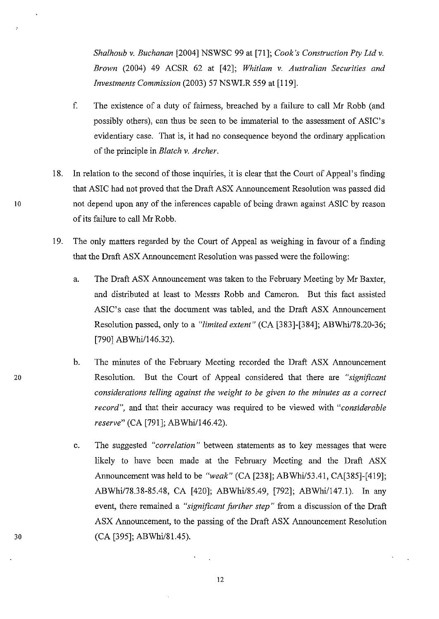*Shalhoub* v. *Buchanan* [2004] NSWSC 99 at [71]; *Cook's Construction Ply Ltd* v. *Brown* (2004) 49 ACSR 62 at [42]; *Whitlam* v. *Australian Securities and Investments Commission* (2003) 57 NSWLR 559 at [119].

- f. The existence of a duty of fairness, breached by a failure to call Mr Robb (and possibly others), can thus be seen to be immaterial to the assessment of ASIC's evidentiary case. That is, it had no consequence beyond the ordinary application of the principle in *Blatch* v. *Archer.*
- 18. In relation to the second of those inquiries, it is clear that the Court of Appeal's finding that ASIC had not proved that the Draft ASX Announcement Resolution was passed did 10 not depend upon any of the inferences capable of being drawn against ASIC by reason of its failure to call Mr Robb.
	- 19. The only matters regarded by the Court of Appeal as weighing in favour of a finding that the Draft ASX Announcement Resolution was passed were the following:
		- a. The Draft ASX Announcement was taken to the February Meeting by Mr Baxter, and distributed at least to Messrs Robb and Cameron. But this fact assisted ASIC's case that the document was tabled, and the Draft ASX Announcement Resolution passed, only to a *"limited extent"* (CA [383]-[384]; ABWhi/78.20-36; [790] ABWhi/146.32).
		- b. The minutes of the February Meeting recorded the Draft ASX Announcement Resolution. But the Court of Appeal considered that there are *"significant considerations telling against the weight to be given to the minutes as a correct record",* and that their accuracy was required to be viewed with *"considerable reserve*" (CA [791]; ABWhi/146.42).
		- c. The suggested *"correlation"* between statements as to key messages that were likely to have been made at the February Meeting and the Draft ASX Announcement was held to be *"weak"* (CA [238]; ABWhi/53.41, CA[385]-[419]; ABWhi/78.38-85.48, CA [420]; ABWhi/85.49, [792]; ABWhi/147.1). In any event, there remained a *"significant further step"* from a discussion of the Draft ASX Announcement, to the passing of the Draft ASX Announcement Resolution (CA [395]; ABWhi/81.45).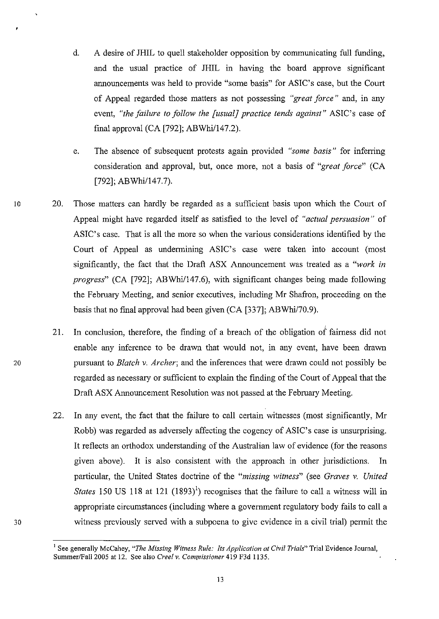- d. A desire of JHIL to quell stakeholder opposition by connnunicating full funding, and the usual practice of JHIL in having the board approve significant announcements was held to provide "some basis" for ASIC's case, but the Court of Appeal regarded those matters as not possessing *"great force"* and, in any event, *"the failure to follow the [usual] practice tends against"* ASIC's case of final approval  $(CA [792]$ ; ABWhi/147.2).
- e. The absence of subsequent protests again provided *"some basis"* for inferring consideration and approval, but, once more, not a basis of *"great force"* (CA [792]; ABWhi/147.7).
- 10 20. Those matters can hardly be regarded as a sufficient basis upon which the Court of Appeal might have regarded itself as satisfied to the level of *"actual persuasion"* of ASIC's case. That is all the more so when the various considerations identified by the Court of Appeal as undermining ASIC's case were taken into account (most significantly, the fact that the Draft ASX Announcement was treated as a *"work in progress*" (CA [792]; ABWhi/147.6), with significant changes being made following the February Meeting, and senior executives, including Mr Shafron, proceeding on the basis that no final approval had been given (CA [337]; ABWhi/70.9).
	- , 21. In conclusion, therefore, the finding of a breach of the obligation of fairness did not enable any inference to be drawn that would not, in any event, have been drawn pursuant to *Blatch* v. *Archer;* and the inferences that were drawn could not possibly be regarded as necessary or sufficient to explain the finding of the Court of Appeal that the Draft ASX Announcement Resolution was not passed at the February Meeting.
	- 22. In any event, the fact that the failure to call certain witnesses (most significantly, Mr Robb) was regarded as adversely affecting the cogency of ASIC's case is unsurprising. It reflects an orthodox understanding of the Australian law of evidence (for the reasons given above). It is also consistent with the approach in other jurisdictions. In particular, the United States doctrine of the *"missing witness"* (see *Graves* v. *United States* 150 US 118 at 121  $(1893)^{1}$  recognises that the failure to call a witness will in appropriate circumstances (including where a government regulatory body fails to call a witness previously served with a subpoena to give evidence in a civil trial) permit the

20

<sup>&</sup>lt;sup>1</sup> See generally McCahey, "The Missing Witness Rule: Its Application at Civil Trials" Trial Evidence Journal, Summer/Fall 2005 at 12. See also *Creel v. Commissioner* 419 F3d 1135.